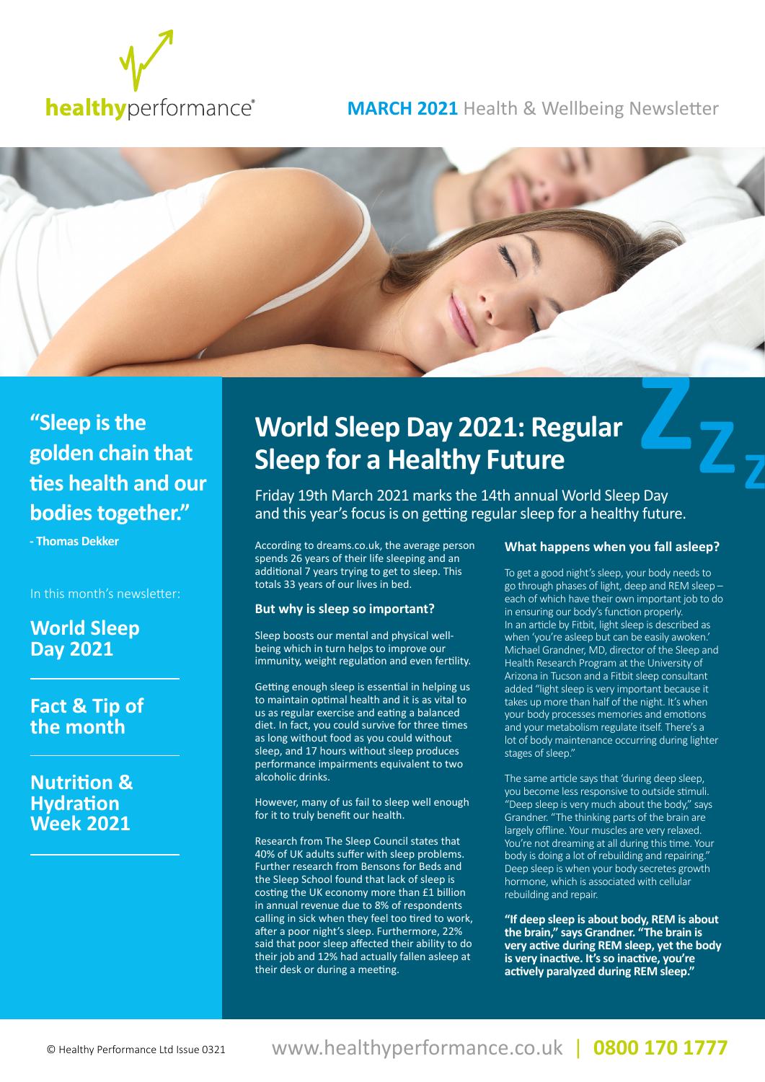

## **MARCH 2021** Health & Wellbeing Newsletter



## **"Sleep is the golden chain that ties health and our bodies together."**

**- Thomas Dekker**

In this month's newsletter:

**World Sleep Day 2021**

**Fact & Tip of the month**

**Nutrition & Hydration Week 2021**

# **World Sleep Day 2021: Regular Sleep for a Healthy Future**

Friday 19th March 2021 marks the 14th annual World Sleep Day and this year's focus is on getting regular sleep for a healthy future.

According to dreams.co.uk, the average person spends 26 years of their life sleeping and an additional 7 years trying to get to sleep. This totals 33 years of our lives in bed.

## **But why is sleep so important?**

Sleep boosts our mental and physical wellbeing which in turn helps to improve our immunity, weight regulation and even fertility.

Getting enough sleep is essential in helping us to maintain optimal health and it is as vital to us as regular exercise and eating a balanced diet. In fact, you could survive for three times as long without food as you could without sleep, and 17 hours without sleep produces performance impairments equivalent to two alcoholic drinks.

However, many of us fail to sleep well enough for it to truly benefit our health.

Research from The Sleep Council states that 40% of UK adults suffer with sleep problems. Further research from Bensons for Beds and the Sleep School found that lack of sleep is costing the UK economy more than £1 billion in annual revenue due to 8% of respondents calling in sick when they feel too tired to work, after a poor night's sleep. Furthermore, 22% said that poor sleep affected their ability to do their job and 12% had actually fallen asleep at their desk or during a meeting.

## **What happens when you fall asleep?**

To get a good night's sleep, your body needs to go through phases of light, deep and REM sleep – each of which have their own important job to do in ensuring our body's function properly. In an article by Fitbit, light sleep is described as when 'you're asleep but can be easily awoken.' Michael Grandner, MD, director of the Sleep and Health Research Program at the University of Arizona in Tucson and a Fitbit sleep consultant added "light sleep is very important because it takes up more than half of the night. It's when your body processes memories and emotions and your metabolism regulate itself. There's a lot of body maintenance occurring during lighter stages of sleep."

The same article says that 'during deep sleep, you become less responsive to outside stimuli. "Deep sleep is very much about the body," says Grandner. "The thinking parts of the brain are largely offline. Your muscles are very relaxed. You're not dreaming at all during this time. Your body is doing a lot of rebuilding and repairing." Deep sleep is when your body secretes growth hormone, which is associated with cellular rebuilding and repair.

**"If deep sleep is about body, REM is about the brain," says Grandner. "The brain is very active during REM sleep, yet the body is very inactive. It's so inactive, you're actively paralyzed during REM sleep."**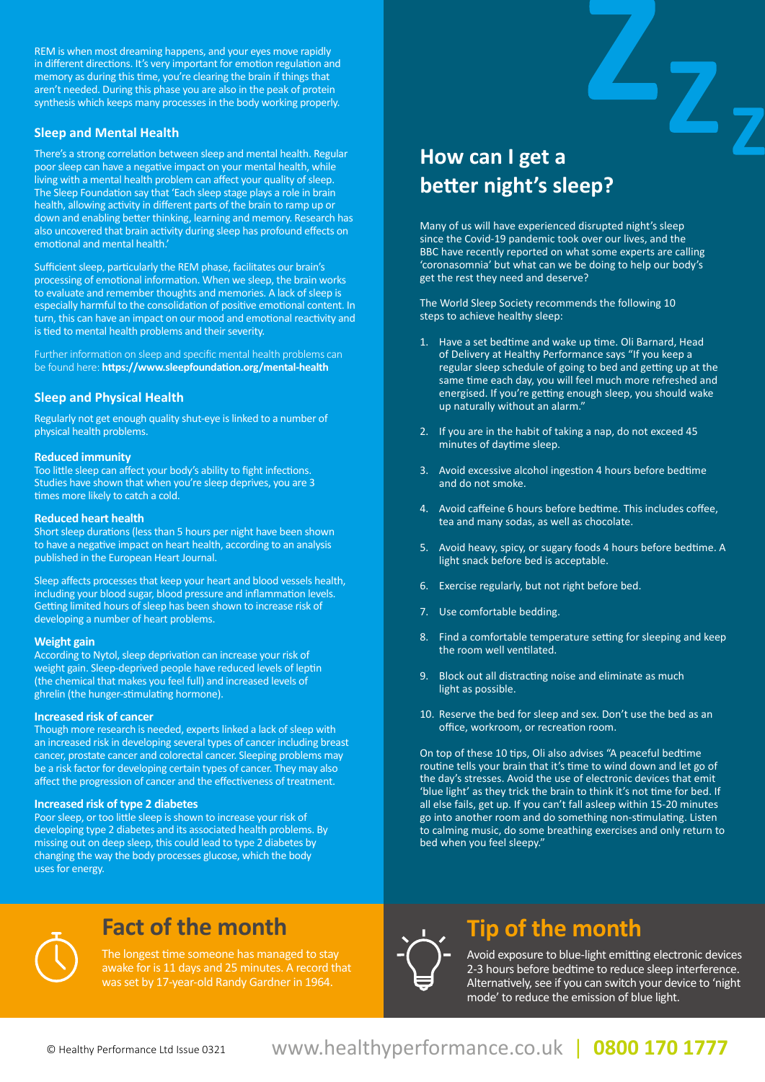REM is when most dreaming happens, and your eyes move rapidly in different directions. It's very important for emotion regulation and memory as during this time, you're clearing the brain if things that aren't needed. During this phase you are also in the peak of protein synthesis which keeps many processes in the body working properly.

## **Sleep and Mental Health**

There's a strong correlation between sleep and mental health. Regular poor sleep can have a negative impact on your mental health, while living with a mental health problem can affect your quality of sleep. The Sleep Foundation say that 'Each sleep stage plays a role in brain health, allowing activity in different parts of the brain to ramp up or down and enabling better thinking, learning and memory. Research has also uncovered that brain activity during sleep has profound effects on emotional and mental health.'

Sufficient sleep, particularly the REM phase, facilitates our brain's processing of emotional information. When we sleep, the brain works to evaluate and remember thoughts and memories. A lack of sleep is especially harmful to the consolidation of positive emotional content. In turn, this can have an impact on our mood and emotional reactivity and is tied to mental health problems and their severity.

Further information on sleep and specific mental health problems can be found here: **https://www.sleepfoundation.org/mental-health**

## **Sleep and Physical Health**

Regularly not get enough quality shut-eye is linked to a number of physical health problems.

## **Reduced immunity**

Too little sleep can affect your body's ability to fight infections. Studies have shown that when you're sleep deprives, you are 3 times more likely to catch a cold.

#### **Reduced heart health**

Short sleep durations (less than 5 hours per night have been shown to have a negative impact on heart health, according to an analysis published in the European Heart Journal.

Sleep affects processes that keep your heart and blood vessels health, including your blood sugar, blood pressure and inflammation levels. Getting limited hours of sleep has been shown to increase risk of developing a number of heart problems.

## **Weight gain**

According to Nytol, sleep deprivation can increase your risk of weight gain. Sleep-deprived people have reduced levels of leptin (the chemical that makes you feel full) and increased levels of ghrelin (the hunger-stimulating hormone).

## **Increased risk of cancer**

Though more research is needed, experts linked a lack of sleep with an increased risk in developing several types of cancer including breast cancer, prostate cancer and colorectal cancer. Sleeping problems may be a risk factor for developing certain types of cancer. They may also affect the progression of cancer and the effectiveness of treatment.

## **Increased risk of type 2 diabetes**

Poor sleep, or too little sleep is shown to increase your risk of developing type 2 diabetes and its associated health problems. By missing out on deep sleep, this could lead to type 2 diabetes by changing the way the body processes glucose, which the body uses for energy.

## **How can I get a better night's sleep?**

Many of us will have experienced disrupted night's sleep since the Covid-19 pandemic took over our lives, and the BBC have recently reported on what some experts are calling 'coronasomnia' but what can we be doing to help our body's get the rest they need and deserve?

Ζ,

The World Sleep Society recommends the following 10 steps to achieve healthy sleep:

- 1. Have a set bedtime and wake up time. Oli Barnard, Head of Delivery at Healthy Performance says "If you keep a regular sleep schedule of going to bed and getting up at the same time each day, you will feel much more refreshed and energised. If you're getting enough sleep, you should wake up naturally without an alarm."
- 2. If you are in the habit of taking a nap, do not exceed 45 minutes of daytime sleep.
- 3. Avoid excessive alcohol ingestion 4 hours before bedtime and do not smoke.
- 4. Avoid caffeine 6 hours before bedtime. This includes coffee, tea and many sodas, as well as chocolate.
- 5. Avoid heavy, spicy, or sugary foods 4 hours before bedtime. A light snack before bed is acceptable.
- 6. Exercise regularly, but not right before bed.
- 7. Use comfortable bedding.
- 8. Find a comfortable temperature setting for sleeping and keep the room well ventilated.
- 9. Block out all distracting noise and eliminate as much light as possible.
- 10. Reserve the bed for sleep and sex. Don't use the bed as an office, workroom, or recreation room.

On top of these 10 tips, Oli also advises "A peaceful bedtime routine tells your brain that it's time to wind down and let go of the day's stresses. Avoid the use of electronic devices that emit 'blue light' as they trick the brain to think it's not time for bed. If all else fails, get up. If you can't fall asleep within 15-20 minutes go into another room and do something non-stimulating. Listen to calming music, do some breathing exercises and only return to bed when you feel sleepy."



## **Fact of the month Tip of the month**

The longest time someone has managed to stay awake for is 11 days and 25 minutes. A record that was set by 17-year-old Randy Gardner in 1964.



Avoid exposure to blue-light emitting electronic devices 2-3 hours before bedtime to reduce sleep interference. Alternatively, see if you can switch your device to 'night mode' to reduce the emission of blue light.